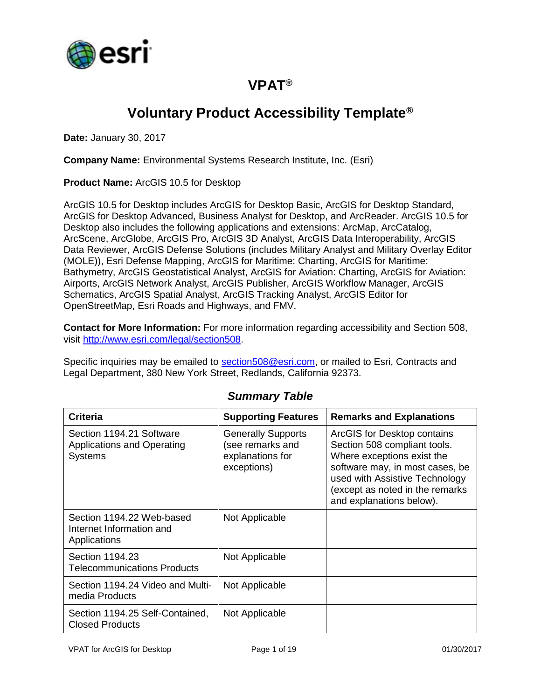

### **VPAT®**

## **Voluntary Product Accessibility Template®**

**Date:** January 30, 2017

**Company Name:** Environmental Systems Research Institute, Inc. (Esri)

**Product Name:** ArcGIS 10.5 for Desktop

ArcGIS 10.5 for Desktop includes ArcGIS for Desktop Basic, ArcGIS for Desktop Standard, ArcGIS for Desktop Advanced, Business Analyst for Desktop, and ArcReader. ArcGIS 10.5 for Desktop also includes the following applications and extensions: ArcMap, ArcCatalog, ArcScene, ArcGlobe, ArcGIS Pro, ArcGIS 3D Analyst, ArcGIS Data Interoperability, ArcGIS Data Reviewer, ArcGIS Defense Solutions (includes Military Analyst and Military Overlay Editor (MOLE)), Esri Defense Mapping, ArcGIS for Maritime: Charting, ArcGIS for Maritime: Bathymetry, ArcGIS Geostatistical Analyst, ArcGIS for Aviation: Charting, ArcGIS for Aviation: Airports, ArcGIS Network Analyst, ArcGIS Publisher, ArcGIS Workflow Manager, ArcGIS Schematics, ArcGIS Spatial Analyst, ArcGIS Tracking Analyst, ArcGIS Editor for OpenStreetMap, Esri Roads and Highways, and FMV.

**Contact for More Information:** For more information regarding accessibility and Section 508, visit [http://www.esri.com/legal/section508.](http://www.esri.com/legal/section508)

Specific inquiries may be emailed to [section508@esri.com,](mailto:section508@esri.com) or mailed to Esri, Contracts and Legal Department, 380 New York Street, Redlands, California 92373.

| <b>Criteria</b>                                                          | <b>Supporting Features</b>                                                       | <b>Remarks and Explanations</b>                                                                                                                                                                                               |
|--------------------------------------------------------------------------|----------------------------------------------------------------------------------|-------------------------------------------------------------------------------------------------------------------------------------------------------------------------------------------------------------------------------|
| Section 1194.21 Software<br>Applications and Operating<br><b>Systems</b> | <b>Generally Supports</b><br>(see remarks and<br>explanations for<br>exceptions) | ArcGIS for Desktop contains<br>Section 508 compliant tools.<br>Where exceptions exist the<br>software may, in most cases, be<br>used with Assistive Technology<br>(except as noted in the remarks<br>and explanations below). |
| Section 1194.22 Web-based<br>Internet Information and<br>Applications    | Not Applicable                                                                   |                                                                                                                                                                                                                               |
| Section 1194.23<br><b>Telecommunications Products</b>                    | Not Applicable                                                                   |                                                                                                                                                                                                                               |
| Section 1194.24 Video and Multi-<br>media Products                       | Not Applicable                                                                   |                                                                                                                                                                                                                               |
| Section 1194.25 Self-Contained,<br><b>Closed Products</b>                | Not Applicable                                                                   |                                                                                                                                                                                                                               |

#### *Summary Table*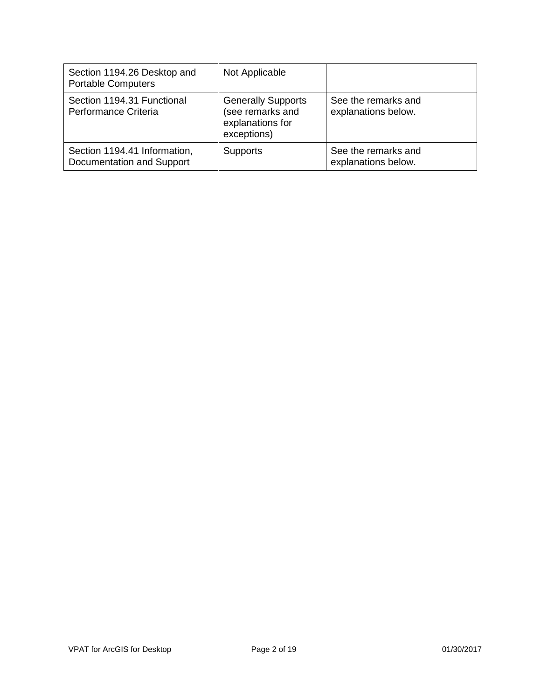| Section 1194.26 Desktop and<br><b>Portable Computers</b>  | Not Applicable                                                                   |                                            |
|-----------------------------------------------------------|----------------------------------------------------------------------------------|--------------------------------------------|
| Section 1194.31 Functional<br>Performance Criteria        | <b>Generally Supports</b><br>(see remarks and<br>explanations for<br>exceptions) | See the remarks and<br>explanations below. |
| Section 1194.41 Information,<br>Documentation and Support | <b>Supports</b>                                                                  | See the remarks and<br>explanations below. |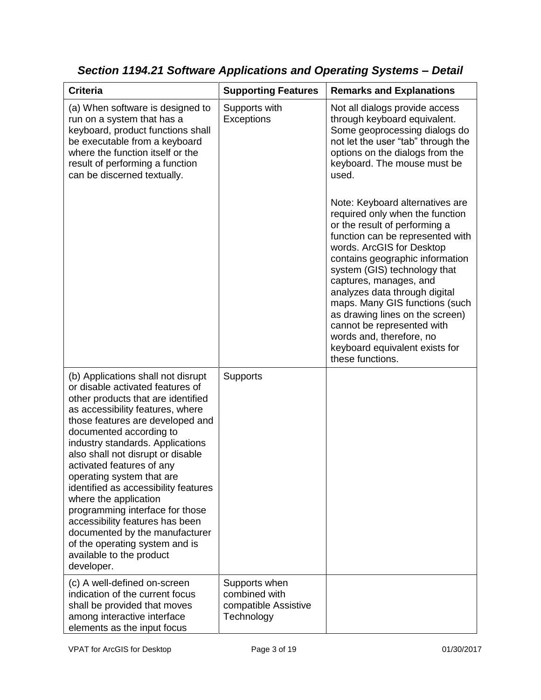| <b>Criteria</b>                                                                                                                                                                                                                                                                                                                                                                                                                                                                                                                                                                                         | <b>Supporting Features</b>                                           | <b>Remarks and Explanations</b>                                                                                                                                                                                                                                                                                                                                                                                                                                                         |
|---------------------------------------------------------------------------------------------------------------------------------------------------------------------------------------------------------------------------------------------------------------------------------------------------------------------------------------------------------------------------------------------------------------------------------------------------------------------------------------------------------------------------------------------------------------------------------------------------------|----------------------------------------------------------------------|-----------------------------------------------------------------------------------------------------------------------------------------------------------------------------------------------------------------------------------------------------------------------------------------------------------------------------------------------------------------------------------------------------------------------------------------------------------------------------------------|
| (a) When software is designed to<br>run on a system that has a<br>keyboard, product functions shall<br>be executable from a keyboard<br>where the function itself or the<br>result of performing a function<br>can be discerned textually.                                                                                                                                                                                                                                                                                                                                                              | Supports with<br>Exceptions                                          | Not all dialogs provide access<br>through keyboard equivalent.<br>Some geoprocessing dialogs do<br>not let the user "tab" through the<br>options on the dialogs from the<br>keyboard. The mouse must be<br>used.                                                                                                                                                                                                                                                                        |
|                                                                                                                                                                                                                                                                                                                                                                                                                                                                                                                                                                                                         |                                                                      | Note: Keyboard alternatives are<br>required only when the function<br>or the result of performing a<br>function can be represented with<br>words. ArcGIS for Desktop<br>contains geographic information<br>system (GIS) technology that<br>captures, manages, and<br>analyzes data through digital<br>maps. Many GIS functions (such<br>as drawing lines on the screen)<br>cannot be represented with<br>words and, therefore, no<br>keyboard equivalent exists for<br>these functions. |
| (b) Applications shall not disrupt<br>or disable activated features of<br>other products that are identified<br>as accessibility features, where<br>those features are developed and<br>documented according to<br>industry standards. Applications<br>also shall not disrupt or disable<br>activated features of any<br>operating system that are<br>identified as accessibility features<br>where the application<br>programming interface for those<br>accessibility features has been<br>documented by the manufacturer<br>of the operating system and is<br>available to the product<br>developer. | <b>Supports</b>                                                      |                                                                                                                                                                                                                                                                                                                                                                                                                                                                                         |
| (c) A well-defined on-screen<br>indication of the current focus<br>shall be provided that moves<br>among interactive interface<br>elements as the input focus                                                                                                                                                                                                                                                                                                                                                                                                                                           | Supports when<br>combined with<br>compatible Assistive<br>Technology |                                                                                                                                                                                                                                                                                                                                                                                                                                                                                         |

*Section 1194.21 Software Applications and Operating Systems – Detail*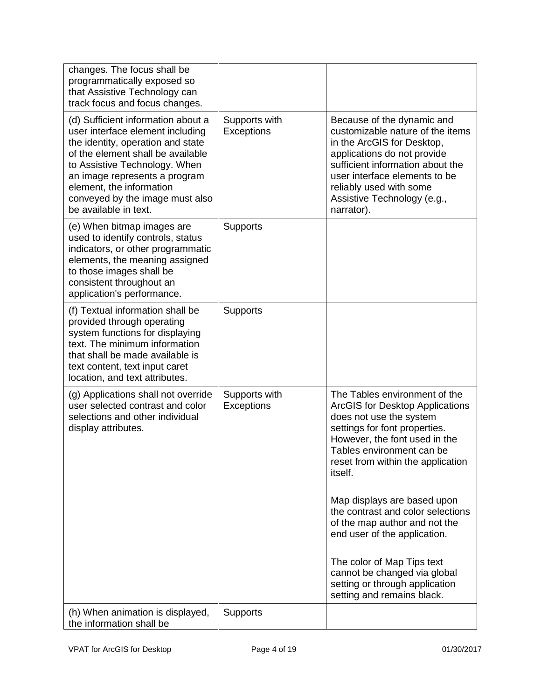| changes. The focus shall be<br>programmatically exposed so<br>that Assistive Technology can<br>track focus and focus changes.                                                                                                                                                                              |                             |                                                                                                                                                                                                                                                                          |
|------------------------------------------------------------------------------------------------------------------------------------------------------------------------------------------------------------------------------------------------------------------------------------------------------------|-----------------------------|--------------------------------------------------------------------------------------------------------------------------------------------------------------------------------------------------------------------------------------------------------------------------|
| (d) Sufficient information about a<br>user interface element including<br>the identity, operation and state<br>of the element shall be available<br>to Assistive Technology. When<br>an image represents a program<br>element, the information<br>conveyed by the image must also<br>be available in text. | Supports with<br>Exceptions | Because of the dynamic and<br>customizable nature of the items<br>in the ArcGIS for Desktop,<br>applications do not provide<br>sufficient information about the<br>user interface elements to be<br>reliably used with some<br>Assistive Technology (e.g.,<br>narrator). |
| (e) When bitmap images are<br>used to identify controls, status<br>indicators, or other programmatic<br>elements, the meaning assigned<br>to those images shall be<br>consistent throughout an<br>application's performance.                                                                               | Supports                    |                                                                                                                                                                                                                                                                          |
| (f) Textual information shall be<br>provided through operating<br>system functions for displaying<br>text. The minimum information<br>that shall be made available is<br>text content, text input caret<br>location, and text attributes.                                                                  | <b>Supports</b>             |                                                                                                                                                                                                                                                                          |
| (g) Applications shall not override<br>user selected contrast and color<br>selections and other individual<br>display attributes.                                                                                                                                                                          | Supports with<br>Exceptions | The Tables environment of the<br><b>ArcGIS for Desktop Applications</b><br>does not use the system<br>settings for font properties.<br>However, the font used in the<br>Tables environment can be<br>reset from within the application<br><i>itself.</i>                 |
|                                                                                                                                                                                                                                                                                                            |                             | Map displays are based upon<br>the contrast and color selections<br>of the map author and not the<br>end user of the application.                                                                                                                                        |
|                                                                                                                                                                                                                                                                                                            |                             | The color of Map Tips text<br>cannot be changed via global<br>setting or through application<br>setting and remains black.                                                                                                                                               |
| (h) When animation is displayed,<br>the information shall be                                                                                                                                                                                                                                               | <b>Supports</b>             |                                                                                                                                                                                                                                                                          |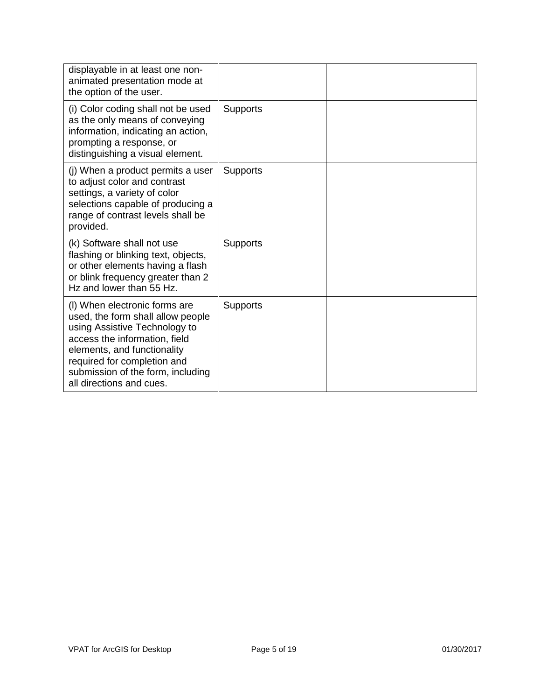| displayable in at least one non-<br>animated presentation mode at<br>the option of the user.                                                                                                                                                                        |                 |  |
|---------------------------------------------------------------------------------------------------------------------------------------------------------------------------------------------------------------------------------------------------------------------|-----------------|--|
| (i) Color coding shall not be used<br>as the only means of conveying<br>information, indicating an action,<br>prompting a response, or<br>distinguishing a visual element.                                                                                          | <b>Supports</b> |  |
| (j) When a product permits a user<br>to adjust color and contrast<br>settings, a variety of color<br>selections capable of producing a<br>range of contrast levels shall be<br>provided.                                                                            | <b>Supports</b> |  |
| (k) Software shall not use<br>flashing or blinking text, objects,<br>or other elements having a flash<br>or blink frequency greater than 2<br>Hz and lower than 55 Hz.                                                                                              | <b>Supports</b> |  |
| (I) When electronic forms are<br>used, the form shall allow people<br>using Assistive Technology to<br>access the information, field<br>elements, and functionality<br>required for completion and<br>submission of the form, including<br>all directions and cues. | <b>Supports</b> |  |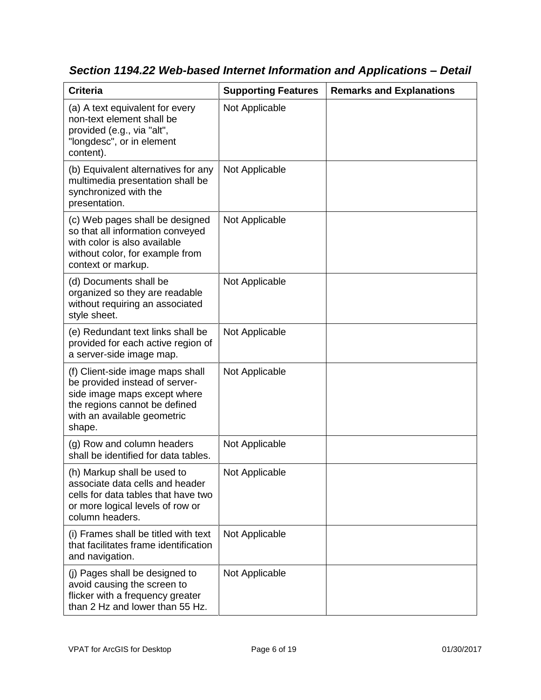| <b>Criteria</b>                                                                                                                                                              | <b>Supporting Features</b> | <b>Remarks and Explanations</b> |
|------------------------------------------------------------------------------------------------------------------------------------------------------------------------------|----------------------------|---------------------------------|
| (a) A text equivalent for every<br>non-text element shall be<br>provided (e.g., via "alt",<br>"longdesc", or in element<br>content).                                         | Not Applicable             |                                 |
| (b) Equivalent alternatives for any<br>multimedia presentation shall be<br>synchronized with the<br>presentation.                                                            | Not Applicable             |                                 |
| (c) Web pages shall be designed<br>so that all information conveyed<br>with color is also available<br>without color, for example from<br>context or markup.                 | Not Applicable             |                                 |
| (d) Documents shall be<br>organized so they are readable<br>without requiring an associated<br>style sheet.                                                                  | Not Applicable             |                                 |
| (e) Redundant text links shall be<br>provided for each active region of<br>a server-side image map.                                                                          | Not Applicable             |                                 |
| (f) Client-side image maps shall<br>be provided instead of server-<br>side image maps except where<br>the regions cannot be defined<br>with an available geometric<br>shape. | Not Applicable             |                                 |
| (g) Row and column headers<br>shall be identified for data tables.                                                                                                           | Not Applicable             |                                 |
| (h) Markup shall be used to<br>associate data cells and header<br>cells for data tables that have two<br>or more logical levels of row or<br>column headers.                 | Not Applicable             |                                 |
| (i) Frames shall be titled with text<br>that facilitates frame identification<br>and navigation.                                                                             | Not Applicable             |                                 |
| (j) Pages shall be designed to<br>avoid causing the screen to<br>flicker with a frequency greater<br>than 2 Hz and lower than 55 Hz.                                         | Not Applicable             |                                 |

*Section 1194.22 Web-based Internet Information and Applications – Detail*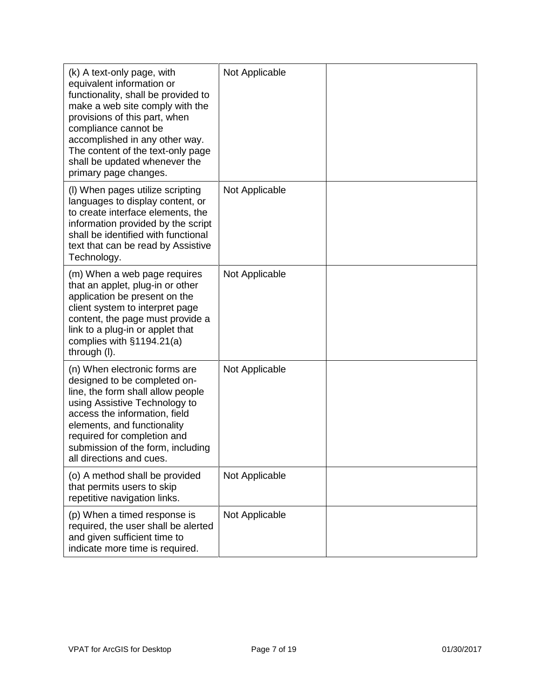| (k) A text-only page, with<br>equivalent information or<br>functionality, shall be provided to<br>make a web site comply with the<br>provisions of this part, when<br>compliance cannot be<br>accomplished in any other way.<br>The content of the text-only page<br>shall be updated whenever the<br>primary page changes. | Not Applicable |  |
|-----------------------------------------------------------------------------------------------------------------------------------------------------------------------------------------------------------------------------------------------------------------------------------------------------------------------------|----------------|--|
| (I) When pages utilize scripting<br>languages to display content, or<br>to create interface elements, the<br>information provided by the script<br>shall be identified with functional<br>text that can be read by Assistive<br>Technology.                                                                                 | Not Applicable |  |
| (m) When a web page requires<br>that an applet, plug-in or other<br>application be present on the<br>client system to interpret page<br>content, the page must provide a<br>link to a plug-in or applet that<br>complies with $§1194.21(a)$<br>through (I).                                                                 | Not Applicable |  |
| (n) When electronic forms are<br>designed to be completed on-<br>line, the form shall allow people<br>using Assistive Technology to<br>access the information, field<br>elements, and functionality<br>required for completion and<br>submission of the form, including<br>all directions and cues.                         | Not Applicable |  |
| (o) A method shall be provided<br>that permits users to skip<br>repetitive navigation links.                                                                                                                                                                                                                                | Not Applicable |  |
| (p) When a timed response is<br>required, the user shall be alerted<br>and given sufficient time to<br>indicate more time is required.                                                                                                                                                                                      | Not Applicable |  |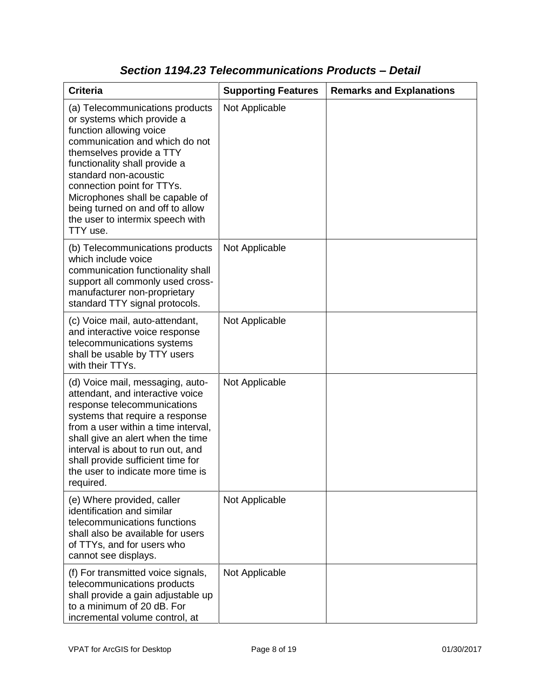| <b>Criteria</b>                                                                                                                                                                                                                                                                                                                                                       | <b>Supporting Features</b> | <b>Remarks and Explanations</b> |
|-----------------------------------------------------------------------------------------------------------------------------------------------------------------------------------------------------------------------------------------------------------------------------------------------------------------------------------------------------------------------|----------------------------|---------------------------------|
| (a) Telecommunications products<br>or systems which provide a<br>function allowing voice<br>communication and which do not<br>themselves provide a TTY<br>functionality shall provide a<br>standard non-acoustic<br>connection point for TTYs.<br>Microphones shall be capable of<br>being turned on and off to allow<br>the user to intermix speech with<br>TTY use. | Not Applicable             |                                 |
| (b) Telecommunications products<br>which include voice<br>communication functionality shall<br>support all commonly used cross-<br>manufacturer non-proprietary<br>standard TTY signal protocols.                                                                                                                                                                     | Not Applicable             |                                 |
| (c) Voice mail, auto-attendant,<br>and interactive voice response<br>telecommunications systems<br>shall be usable by TTY users<br>with their TTYs.                                                                                                                                                                                                                   | Not Applicable             |                                 |
| (d) Voice mail, messaging, auto-<br>attendant, and interactive voice<br>response telecommunications<br>systems that require a response<br>from a user within a time interval,<br>shall give an alert when the time<br>interval is about to run out, and<br>shall provide sufficient time for<br>the user to indicate more time is<br>required.                        | Not Applicable             |                                 |
| (e) Where provided, caller<br>identification and similar<br>telecommunications functions<br>shall also be available for users<br>of TTYs, and for users who<br>cannot see displays.                                                                                                                                                                                   | Not Applicable             |                                 |
| (f) For transmitted voice signals,<br>telecommunications products<br>shall provide a gain adjustable up<br>to a minimum of 20 dB. For<br>incremental volume control, at                                                                                                                                                                                               | Not Applicable             |                                 |

### *Section 1194.23 Telecommunications Products – Detail*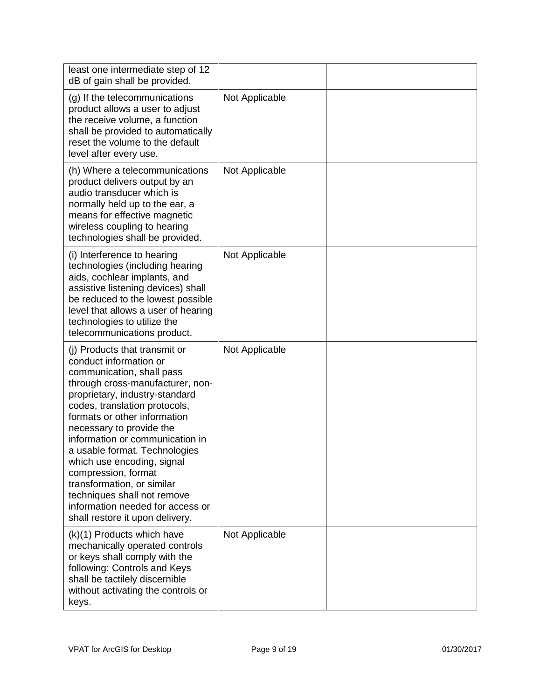| least one intermediate step of 12<br>dB of gain shall be provided.                                                                                                                                                                                                                                                                                                                                                                                                                                                   |                |  |
|----------------------------------------------------------------------------------------------------------------------------------------------------------------------------------------------------------------------------------------------------------------------------------------------------------------------------------------------------------------------------------------------------------------------------------------------------------------------------------------------------------------------|----------------|--|
| (g) If the telecommunications<br>product allows a user to adjust<br>the receive volume, a function<br>shall be provided to automatically<br>reset the volume to the default<br>level after every use.                                                                                                                                                                                                                                                                                                                | Not Applicable |  |
| (h) Where a telecommunications<br>product delivers output by an<br>audio transducer which is<br>normally held up to the ear, a<br>means for effective magnetic<br>wireless coupling to hearing<br>technologies shall be provided.                                                                                                                                                                                                                                                                                    | Not Applicable |  |
| (i) Interference to hearing<br>technologies (including hearing<br>aids, cochlear implants, and<br>assistive listening devices) shall<br>be reduced to the lowest possible<br>level that allows a user of hearing<br>technologies to utilize the<br>telecommunications product.                                                                                                                                                                                                                                       | Not Applicable |  |
| (i) Products that transmit or<br>conduct information or<br>communication, shall pass<br>through cross-manufacturer, non-<br>proprietary, industry-standard<br>codes, translation protocols,<br>formats or other information<br>necessary to provide the<br>information or communication in<br>a usable format. Technologies<br>which use encoding, signal<br>compression, format<br>transformation, or similar<br>techniques shall not remove<br>information needed for access or<br>shall restore it upon delivery. | Not Applicable |  |
| (k)(1) Products which have<br>mechanically operated controls<br>or keys shall comply with the<br>following: Controls and Keys<br>shall be tactilely discernible<br>without activating the controls or<br>keys.                                                                                                                                                                                                                                                                                                       | Not Applicable |  |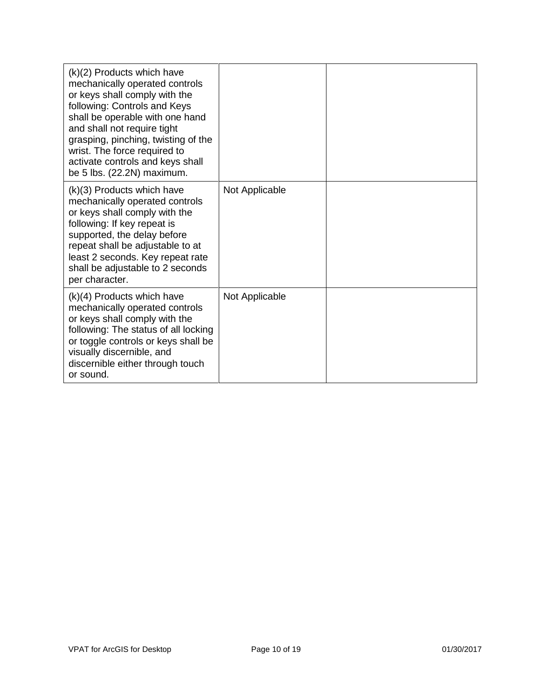| $(k)(2)$ Products which have<br>mechanically operated controls<br>or keys shall comply with the<br>following: Controls and Keys<br>shall be operable with one hand<br>and shall not require tight<br>grasping, pinching, twisting of the<br>wrist. The force required to<br>activate controls and keys shall<br>be 5 lbs. (22.2N) maximum. |                |  |
|--------------------------------------------------------------------------------------------------------------------------------------------------------------------------------------------------------------------------------------------------------------------------------------------------------------------------------------------|----------------|--|
| (k)(3) Products which have<br>mechanically operated controls<br>or keys shall comply with the<br>following: If key repeat is<br>supported, the delay before<br>repeat shall be adjustable to at<br>least 2 seconds. Key repeat rate<br>shall be adjustable to 2 seconds<br>per character.                                                  | Not Applicable |  |
| $(k)(4)$ Products which have<br>mechanically operated controls<br>or keys shall comply with the<br>following: The status of all locking<br>or toggle controls or keys shall be<br>visually discernible, and<br>discernible either through touch<br>or sound.                                                                               | Not Applicable |  |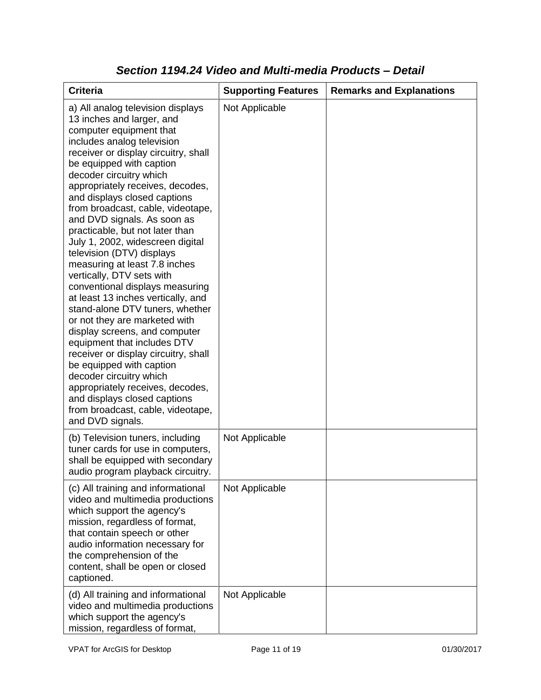| <b>Criteria</b>                                                                                                                                                                                                                                                                                                                                                                                                                                                                                                                                                                                                                                                                                                                                                                                                                                                                                                                                                           | <b>Supporting Features</b> | <b>Remarks and Explanations</b> |
|---------------------------------------------------------------------------------------------------------------------------------------------------------------------------------------------------------------------------------------------------------------------------------------------------------------------------------------------------------------------------------------------------------------------------------------------------------------------------------------------------------------------------------------------------------------------------------------------------------------------------------------------------------------------------------------------------------------------------------------------------------------------------------------------------------------------------------------------------------------------------------------------------------------------------------------------------------------------------|----------------------------|---------------------------------|
| a) All analog television displays<br>13 inches and larger, and<br>computer equipment that<br>includes analog television<br>receiver or display circuitry, shall<br>be equipped with caption<br>decoder circuitry which<br>appropriately receives, decodes,<br>and displays closed captions<br>from broadcast, cable, videotape,<br>and DVD signals. As soon as<br>practicable, but not later than<br>July 1, 2002, widescreen digital<br>television (DTV) displays<br>measuring at least 7.8 inches<br>vertically, DTV sets with<br>conventional displays measuring<br>at least 13 inches vertically, and<br>stand-alone DTV tuners, whether<br>or not they are marketed with<br>display screens, and computer<br>equipment that includes DTV<br>receiver or display circuitry, shall<br>be equipped with caption<br>decoder circuitry which<br>appropriately receives, decodes,<br>and displays closed captions<br>from broadcast, cable, videotape,<br>and DVD signals. | Not Applicable             |                                 |
| (b) Television tuners, including<br>tuner cards for use in computers,<br>shall be equipped with secondary<br>audio program playback circuitry.                                                                                                                                                                                                                                                                                                                                                                                                                                                                                                                                                                                                                                                                                                                                                                                                                            | Not Applicable             |                                 |
| (c) All training and informational<br>video and multimedia productions<br>which support the agency's<br>mission, regardless of format,<br>that contain speech or other<br>audio information necessary for<br>the comprehension of the<br>content, shall be open or closed<br>captioned.                                                                                                                                                                                                                                                                                                                                                                                                                                                                                                                                                                                                                                                                                   | Not Applicable             |                                 |
| (d) All training and informational<br>video and multimedia productions<br>which support the agency's<br>mission, regardless of format,                                                                                                                                                                                                                                                                                                                                                                                                                                                                                                                                                                                                                                                                                                                                                                                                                                    | Not Applicable             |                                 |

### *Section 1194.24 Video and Multi-media Products – Detail*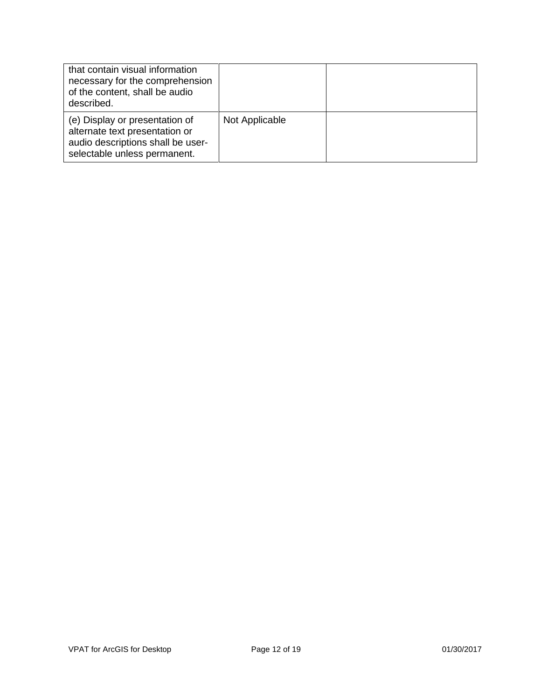| that contain visual information<br>necessary for the comprehension<br>of the content, shall be audio<br>described.                    |                |  |
|---------------------------------------------------------------------------------------------------------------------------------------|----------------|--|
| (e) Display or presentation of<br>alternate text presentation or<br>audio descriptions shall be user-<br>selectable unless permanent. | Not Applicable |  |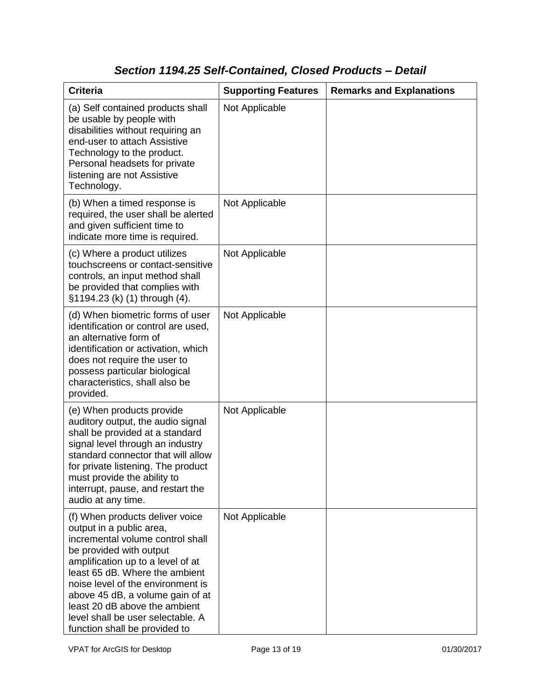## *Section 1194.25 Self-Contained, Closed Products – Detail*

| <b>Criteria</b>                                                                                                                                                                                                                                                                                                                                                                   | <b>Supporting Features</b> | <b>Remarks and Explanations</b> |
|-----------------------------------------------------------------------------------------------------------------------------------------------------------------------------------------------------------------------------------------------------------------------------------------------------------------------------------------------------------------------------------|----------------------------|---------------------------------|
| (a) Self contained products shall<br>be usable by people with<br>disabilities without requiring an<br>end-user to attach Assistive<br>Technology to the product.<br>Personal headsets for private<br>listening are not Assistive<br>Technology.                                                                                                                                   | Not Applicable             |                                 |
| (b) When a timed response is<br>required, the user shall be alerted<br>and given sufficient time to<br>indicate more time is required.                                                                                                                                                                                                                                            | Not Applicable             |                                 |
| (c) Where a product utilizes<br>touchscreens or contact-sensitive<br>controls, an input method shall<br>be provided that complies with<br>§1194.23 (k) (1) through (4).                                                                                                                                                                                                           | Not Applicable             |                                 |
| (d) When biometric forms of user<br>identification or control are used,<br>an alternative form of<br>identification or activation, which<br>does not require the user to<br>possess particular biological<br>characteristics, shall also be<br>provided.                                                                                                                          | Not Applicable             |                                 |
| (e) When products provide<br>auditory output, the audio signal<br>shall be provided at a standard<br>signal level through an industry<br>standard connector that will allow<br>for private listening. The product<br>must provide the ability to<br>interrupt, pause, and restart the<br>audio at any time.                                                                       | Not Applicable             |                                 |
| (f) When products deliver voice<br>output in a public area,<br>incremental volume control shall<br>be provided with output<br>amplification up to a level of at<br>least 65 dB. Where the ambient<br>noise level of the environment is<br>above 45 dB, a volume gain of at<br>least 20 dB above the ambient<br>level shall be user selectable. A<br>function shall be provided to | Not Applicable             |                                 |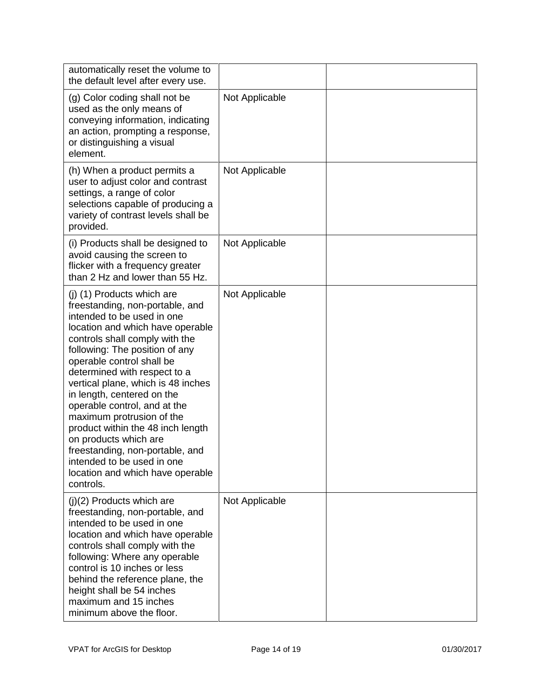| automatically reset the volume to<br>the default level after every use.                                                                                                                                                                                                                                                                                                                                                                                                                                                                                                           |                |  |
|-----------------------------------------------------------------------------------------------------------------------------------------------------------------------------------------------------------------------------------------------------------------------------------------------------------------------------------------------------------------------------------------------------------------------------------------------------------------------------------------------------------------------------------------------------------------------------------|----------------|--|
| (g) Color coding shall not be<br>used as the only means of<br>conveying information, indicating<br>an action, prompting a response,<br>or distinguishing a visual<br>element.                                                                                                                                                                                                                                                                                                                                                                                                     | Not Applicable |  |
| (h) When a product permits a<br>user to adjust color and contrast<br>settings, a range of color<br>selections capable of producing a<br>variety of contrast levels shall be<br>provided.                                                                                                                                                                                                                                                                                                                                                                                          | Not Applicable |  |
| (i) Products shall be designed to<br>avoid causing the screen to<br>flicker with a frequency greater<br>than 2 Hz and lower than 55 Hz.                                                                                                                                                                                                                                                                                                                                                                                                                                           | Not Applicable |  |
| (j) (1) Products which are<br>freestanding, non-portable, and<br>intended to be used in one<br>location and which have operable<br>controls shall comply with the<br>following: The position of any<br>operable control shall be<br>determined with respect to a<br>vertical plane, which is 48 inches<br>in length, centered on the<br>operable control, and at the<br>maximum protrusion of the<br>product within the 48 inch length<br>on products which are<br>freestanding, non-portable, and<br>intended to be used in one<br>location and which have operable<br>controls. | Not Applicable |  |
| $(j)(2)$ Products which are<br>freestanding, non-portable, and<br>intended to be used in one<br>location and which have operable<br>controls shall comply with the<br>following: Where any operable<br>control is 10 inches or less<br>behind the reference plane, the<br>height shall be 54 inches<br>maximum and 15 inches<br>minimum above the floor.                                                                                                                                                                                                                          | Not Applicable |  |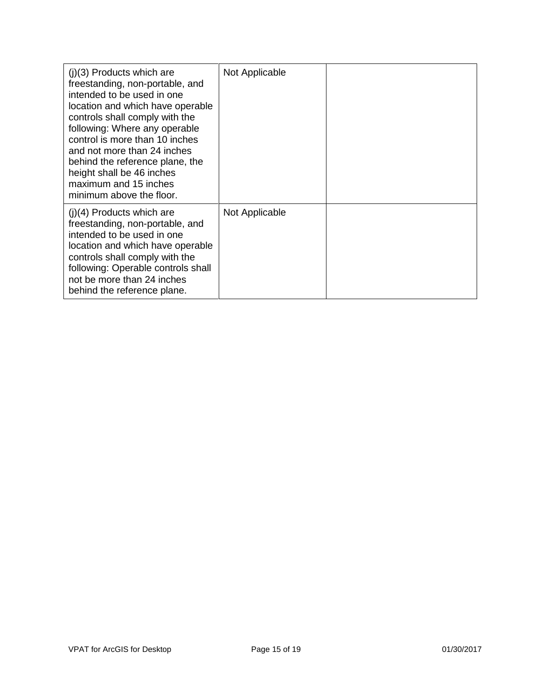| $(i)(3)$ Products which are<br>freestanding, non-portable, and<br>intended to be used in one<br>location and which have operable<br>controls shall comply with the<br>following: Where any operable<br>control is more than 10 inches<br>and not more than 24 inches<br>behind the reference plane, the<br>height shall be 46 inches<br>maximum and 15 inches<br>minimum above the floor. | Not Applicable |  |
|-------------------------------------------------------------------------------------------------------------------------------------------------------------------------------------------------------------------------------------------------------------------------------------------------------------------------------------------------------------------------------------------|----------------|--|
| $(i)(4)$ Products which are<br>freestanding, non-portable, and<br>intended to be used in one<br>location and which have operable<br>controls shall comply with the<br>following: Operable controls shall<br>not be more than 24 inches<br>behind the reference plane.                                                                                                                     | Not Applicable |  |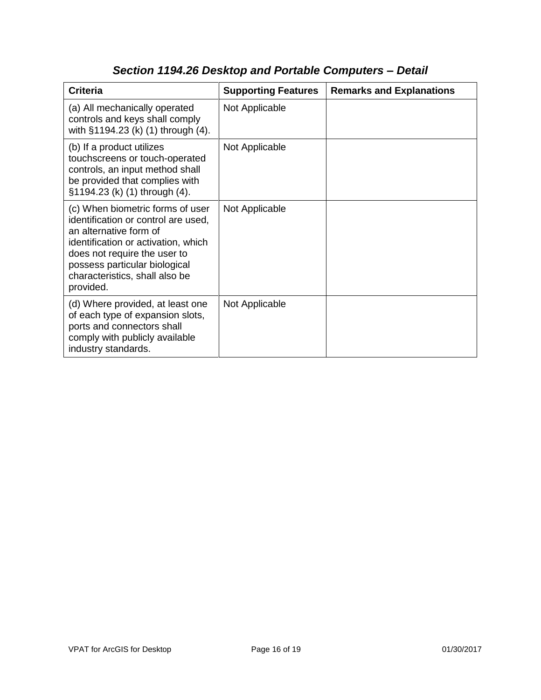| <b>Criteria</b>                                                                                                                                                                                                                                          | <b>Supporting Features</b> | <b>Remarks and Explanations</b> |
|----------------------------------------------------------------------------------------------------------------------------------------------------------------------------------------------------------------------------------------------------------|----------------------------|---------------------------------|
| (a) All mechanically operated<br>controls and keys shall comply<br>with §1194.23 (k) (1) through (4).                                                                                                                                                    | Not Applicable             |                                 |
| (b) If a product utilizes<br>touchscreens or touch-operated<br>controls, an input method shall<br>be provided that complies with<br>§1194.23 (k) (1) through (4).                                                                                        | Not Applicable             |                                 |
| (c) When biometric forms of user<br>identification or control are used,<br>an alternative form of<br>identification or activation, which<br>does not require the user to<br>possess particular biological<br>characteristics, shall also be<br>provided. | Not Applicable             |                                 |
| (d) Where provided, at least one<br>of each type of expansion slots,<br>ports and connectors shall<br>comply with publicly available<br>industry standards.                                                                                              | Not Applicable             |                                 |

# *Section 1194.26 Desktop and Portable Computers – Detail*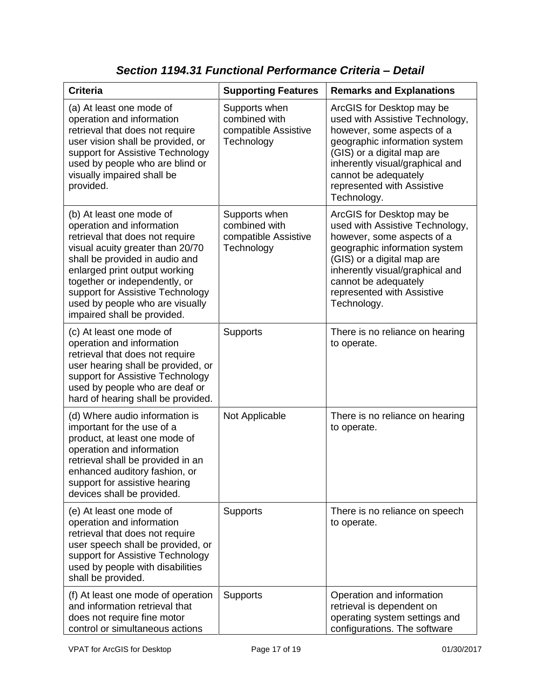| <b>Criteria</b>                                                                                                                                                                                                                                                                                                                        | <b>Supporting Features</b>                                           | <b>Remarks and Explanations</b>                                                                                                                                                                                                                                   |
|----------------------------------------------------------------------------------------------------------------------------------------------------------------------------------------------------------------------------------------------------------------------------------------------------------------------------------------|----------------------------------------------------------------------|-------------------------------------------------------------------------------------------------------------------------------------------------------------------------------------------------------------------------------------------------------------------|
| (a) At least one mode of<br>operation and information<br>retrieval that does not require<br>user vision shall be provided, or<br>support for Assistive Technology<br>used by people who are blind or<br>visually impaired shall be<br>provided.                                                                                        | Supports when<br>combined with<br>compatible Assistive<br>Technology | ArcGIS for Desktop may be<br>used with Assistive Technology,<br>however, some aspects of a<br>geographic information system<br>(GIS) or a digital map are<br>inherently visual/graphical and<br>cannot be adequately<br>represented with Assistive<br>Technology. |
| (b) At least one mode of<br>operation and information<br>retrieval that does not require<br>visual acuity greater than 20/70<br>shall be provided in audio and<br>enlarged print output working<br>together or independently, or<br>support for Assistive Technology<br>used by people who are visually<br>impaired shall be provided. | Supports when<br>combined with<br>compatible Assistive<br>Technology | ArcGIS for Desktop may be<br>used with Assistive Technology,<br>however, some aspects of a<br>geographic information system<br>(GIS) or a digital map are<br>inherently visual/graphical and<br>cannot be adequately<br>represented with Assistive<br>Technology. |
| (c) At least one mode of<br>operation and information<br>retrieval that does not require<br>user hearing shall be provided, or<br>support for Assistive Technology<br>used by people who are deaf or<br>hard of hearing shall be provided.                                                                                             | <b>Supports</b>                                                      | There is no reliance on hearing<br>to operate.                                                                                                                                                                                                                    |
| (d) Where audio information is<br>important for the use of a<br>product, at least one mode of<br>operation and information<br>retrieval shall be provided in an<br>enhanced auditory fashion, or<br>support for assistive hearing<br>devices shall be provided.                                                                        | Not Applicable                                                       | There is no reliance on hearing<br>to operate.                                                                                                                                                                                                                    |
| (e) At least one mode of<br>operation and information<br>retrieval that does not require<br>user speech shall be provided, or<br>support for Assistive Technology<br>used by people with disabilities<br>shall be provided.                                                                                                            | <b>Supports</b>                                                      | There is no reliance on speech<br>to operate.                                                                                                                                                                                                                     |
| (f) At least one mode of operation<br>and information retrieval that<br>does not require fine motor<br>control or simultaneous actions                                                                                                                                                                                                 | <b>Supports</b>                                                      | Operation and information<br>retrieval is dependent on<br>operating system settings and<br>configurations. The software                                                                                                                                           |

*Section 1194.31 Functional Performance Criteria – Detail*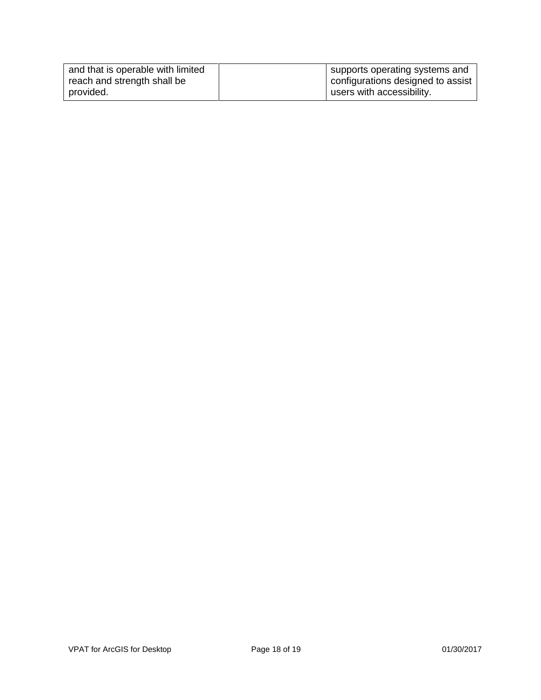| and that is operable with limited | supports operating systems and    |
|-----------------------------------|-----------------------------------|
| reach and strength shall be       | configurations designed to assist |
| provided.                         | users with accessibility.         |